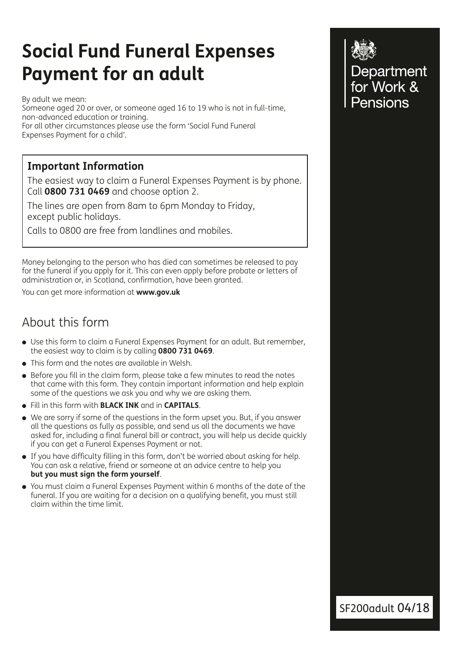# **Social Fund Funeral Expenses Payment for an adult**

By adult we mean: Someone aged 20 or over, or someone aged 16 to 19 who is not in full-time, non-advanced education or training. For all other circumstances please use the form 'Social Fund Funeral Expenses Payment for a child'.

### **Important Information**

The easiest way to claim a Funeral Expenses Payment is by phone. Call **0800 731 0469** and choose option 2.

The lines are open from 8am to 6pm Monday to Friday, except public holidays.

Calls to 0800 are free from landlines and mobiles.

Money belonging to the person who has died can sometimes be released to pay for the funeral if you apply for it. This can even apply before probate or letters of administration or, in Scotland, confirmation, have been granted.

You can get more information at **www.gov.uk**

## About this form

- Use this form to claim a Funeral Expenses Payment for an adult. But remember, the easiest way to claim is by calling **0800 731 0469**.
- This form and the notes are available in Welsh.
- <sup>l</sup> Before you fill in the claim form, please take a few minutes to read the notes that came with this form. They contain important information and help explain some of the questions we ask you and why we are asking them.
- **.** Fill in this form with **BLACK INK** and in **CAPITALS**.
- We are sorry if some of the questions in the form upset you. But, if you answer all the questions as fully as possible, and send us all the documents we have asked for, including a final funeral bill or contract, you will help us decide quickly if you can get a Funeral Expenses Payment or not.
- If you have difficulty filling in this form, don't be worried about asking for help. You can ask a relative, friend or someone at an advice centre to help you **but you must sign the form yourself**.
- You must claim a Funeral Expenses Payment within 6 months of the date of the funeral. If you are waiting for a decision on a qualifying benefit, you must still claim within the time limit.



SF200adult 04/18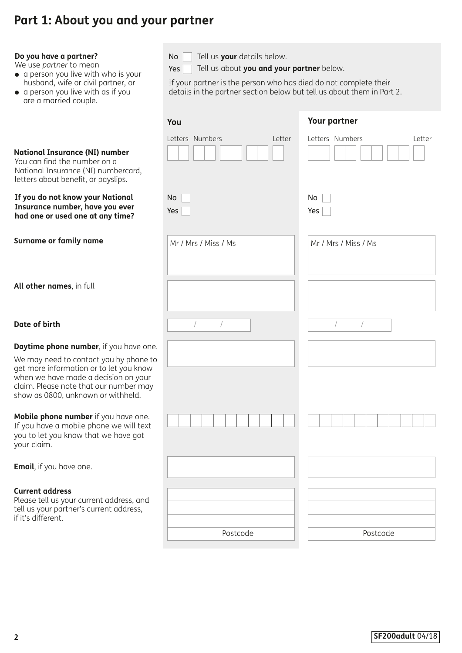# **Part 1: About you and your partner**

| Do you have a partner?<br>We use partner to mean<br>• a person you live with who is your<br>husband, wife or civil partner, or<br>• a person you live with as if you<br>are a married couple.             | Tell us your details below.<br>No<br>Tell us about you and your partner below.<br>Yes<br>If your partner is the person who has died do not complete their<br>details in the partner section below but tell us about them in Part 2. |                           |  |
|-----------------------------------------------------------------------------------------------------------------------------------------------------------------------------------------------------------|-------------------------------------------------------------------------------------------------------------------------------------------------------------------------------------------------------------------------------------|---------------------------|--|
|                                                                                                                                                                                                           | You                                                                                                                                                                                                                                 | <b>Your partner</b>       |  |
| <b>National Insurance (NI) number</b><br>You can find the number on a<br>National Insurance (NI) numbercard,<br>letters about benefit, or payslips.                                                       | Letters Numbers<br>Letter                                                                                                                                                                                                           | Letters Numbers<br>Letter |  |
| If you do not know your National<br>Insurance number, have you ever<br>had one or used one at any time?                                                                                                   | No<br>Yes                                                                                                                                                                                                                           | No<br>Yes                 |  |
| Surname or family name                                                                                                                                                                                    | Mr / Mrs / Miss / Ms                                                                                                                                                                                                                | Mr / Mrs / Miss / Ms      |  |
| All other names, in full                                                                                                                                                                                  |                                                                                                                                                                                                                                     |                           |  |
| Date of birth                                                                                                                                                                                             | $\sqrt{2}$                                                                                                                                                                                                                          |                           |  |
| Daytime phone number, if you have one.                                                                                                                                                                    |                                                                                                                                                                                                                                     |                           |  |
| We may need to contact you by phone to<br>get more information or to let you know<br>when we have made a decision on your<br>claim. Please note that our number may<br>show as 0800, unknown or withheld. |                                                                                                                                                                                                                                     |                           |  |
| Mobile phone number if you have one.<br>If you have a mobile phone we will text<br>you to let you know that we have got<br>your claim.                                                                    |                                                                                                                                                                                                                                     |                           |  |
| <b>Email</b> , if you have one.                                                                                                                                                                           |                                                                                                                                                                                                                                     |                           |  |
| <b>Current address</b><br>Please tell us your current address, and<br>tell us your partner's current address,<br>if it's different.                                                                       | Postcode                                                                                                                                                                                                                            | Postcode                  |  |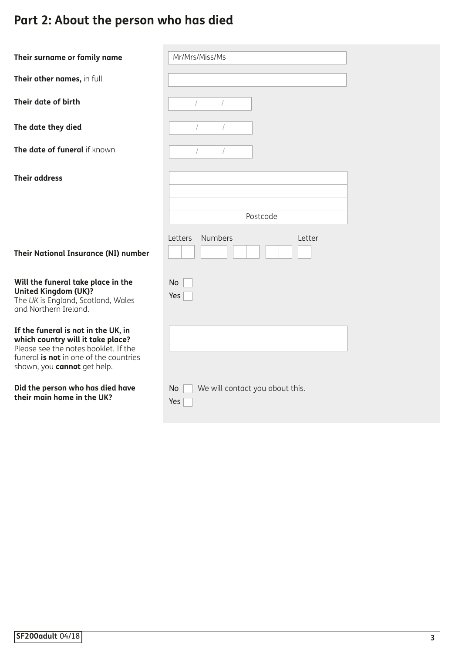# **Part 2: About the person who has died**

| Their surname or family name                                                                                                                                                                     | Mr/Mrs/Miss/Ms               |
|--------------------------------------------------------------------------------------------------------------------------------------------------------------------------------------------------|------------------------------|
| Their other names, in full                                                                                                                                                                       |                              |
| Their date of birth                                                                                                                                                                              | $\sqrt{2}$                   |
| The date they died                                                                                                                                                                               |                              |
| The date of funeral if known                                                                                                                                                                     |                              |
| <b>Their address</b>                                                                                                                                                                             |                              |
|                                                                                                                                                                                                  | Postcode                     |
|                                                                                                                                                                                                  |                              |
| Their National Insurance (NI) number                                                                                                                                                             | Numbers<br>Letters<br>Letter |
| Will the funeral take place in the<br><b>United Kingdom (UK)?</b><br>The UK is England, Scotland, Wales<br>and Northern Ireland.                                                                 | No<br>Yes                    |
| If the funeral is not in the UK, in<br>which country will it take place?<br>Please see the notes booklet. If the<br>funeral is not in one of the countries<br>shown, you <b>cannot</b> get help. |                              |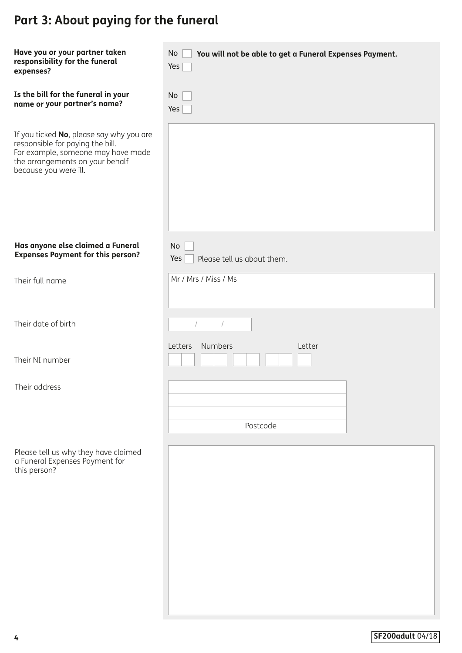# **Part 3: About paying for the funeral**

| Have you or your partner taken<br>responsibility for the funeral<br>expenses?                                                                                                  | No<br>You will not be able to get a Funeral Expenses Payment.<br>Yes |
|--------------------------------------------------------------------------------------------------------------------------------------------------------------------------------|----------------------------------------------------------------------|
| Is the bill for the funeral in your<br>name or your partner's name?                                                                                                            | No<br>Yes                                                            |
| If you ticked No, please say why you are<br>responsible for paying the bill.<br>For example, someone may have made<br>the arrangements on your behalf<br>because you were ill. |                                                                      |
| Has anyone else claimed a Funeral<br><b>Expenses Payment for this person?</b>                                                                                                  | No<br>Yes<br>Please tell us about them.                              |
| Their full name                                                                                                                                                                | Mr / Mrs / Miss / Ms                                                 |
| Their date of birth                                                                                                                                                            |                                                                      |
| Their NI number                                                                                                                                                                | Numbers<br>Letter<br>Letters                                         |
| Their address                                                                                                                                                                  | Postcode                                                             |
| Please tell us why they have claimed<br>a Funeral Expenses Payment for<br>this person?                                                                                         |                                                                      |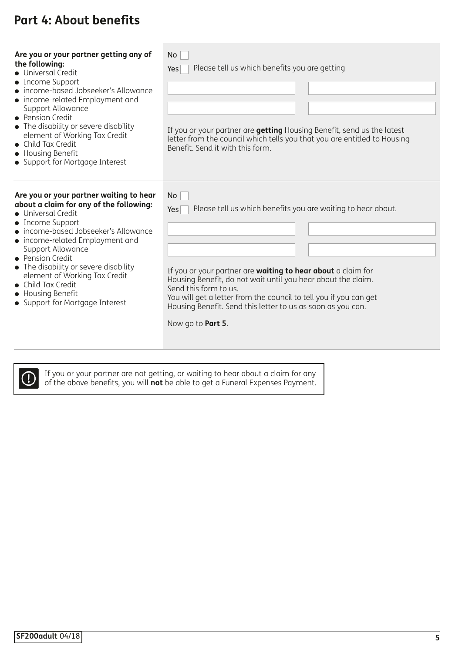## **Part 4: About benefits**

| Are you or your partner getting any of<br>the following:<br>• Universal Credit<br>• Income Support<br>• income-based Jobseeker's Allowance<br>• income-related Employment and<br>Support Allowance<br>• Pension Credit<br>• The disability or severe disability<br>element of Working Tax Credit<br>• Child Tax Credit<br>• Housing Benefit<br>• Support for Mortgage Interest                              | N <sub>o</sub><br>Please tell us which benefits you are getting<br>Yes<br>If you or your partner are <b>getting</b> Housing Benefit, send us the latest<br>letter from the council which tells you that you are entitled to Housing<br>Benefit. Send it with this form.                                                                                                                             |
|-------------------------------------------------------------------------------------------------------------------------------------------------------------------------------------------------------------------------------------------------------------------------------------------------------------------------------------------------------------------------------------------------------------|-----------------------------------------------------------------------------------------------------------------------------------------------------------------------------------------------------------------------------------------------------------------------------------------------------------------------------------------------------------------------------------------------------|
| Are you or your partner waiting to hear<br>about a claim for any of the following:<br>• Universal Credit<br>• Income Support<br>• income-based Jobseeker's Allowance<br>• income-related Employment and<br>Support Allowance<br>• Pension Credit<br>• The disability or severe disability<br>element of Working Tax Credit<br>Child Tax Credit<br><b>Housing Benefit</b><br>• Support for Mortgage Interest | No<br>Please tell us which benefits you are waiting to hear about.<br>Yes<br>If you or your partner are waiting to hear about a claim for<br>Housing Benefit, do not wait until you hear about the claim.<br>Send this form to us.<br>You will get a letter from the council to tell you if you can get<br>Housing Benefit. Send this letter to us as soon as you can.<br>Now go to <b>Part 5</b> . |



 If you or your partner are not getting, or waiting to hear about a claim for any of the above benefits, you will **not** be able to get a Funeral Expenses Payment.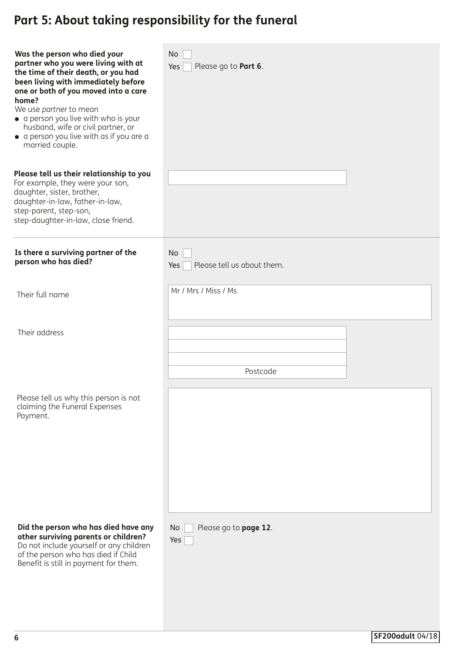| Was the person who died your<br>partner who you were living with at<br>the time of their death, or you had<br>been living with immediately before<br>one or both of you moved into a care<br>home?<br>We use partner to mean<br>• a person you live with who is your<br>husband, wife or civil partner, or<br>• a person you live with as if you are a<br>married couple.<br>Please tell us their relationship to you<br>For example, they were your son,<br>daughter, sister, brother,<br>daughter-in-law, father-in-law,<br>step-parent, step-son,<br>step-daughter-in-law, close friend. | No<br>Yes<br>Please go to Part 6.       |
|---------------------------------------------------------------------------------------------------------------------------------------------------------------------------------------------------------------------------------------------------------------------------------------------------------------------------------------------------------------------------------------------------------------------------------------------------------------------------------------------------------------------------------------------------------------------------------------------|-----------------------------------------|
| Is there a surviving partner of the<br>person who has died?                                                                                                                                                                                                                                                                                                                                                                                                                                                                                                                                 | No<br>Please tell us about them.<br>Yes |
| Their full name                                                                                                                                                                                                                                                                                                                                                                                                                                                                                                                                                                             | Mr / Mrs / Miss / Ms                    |
| Their address                                                                                                                                                                                                                                                                                                                                                                                                                                                                                                                                                                               | Postcode                                |
| Please tell us why this person is not<br>claiming the Funeral Expenses<br>Payment.                                                                                                                                                                                                                                                                                                                                                                                                                                                                                                          |                                         |
| Did the person who has died have any<br>other surviving parents or children?<br>Do not include yourself or any children<br>of the person who has died if Child<br>Benefit is still in payment for them.                                                                                                                                                                                                                                                                                                                                                                                     | No<br>Please go to page 12.<br>Yes      |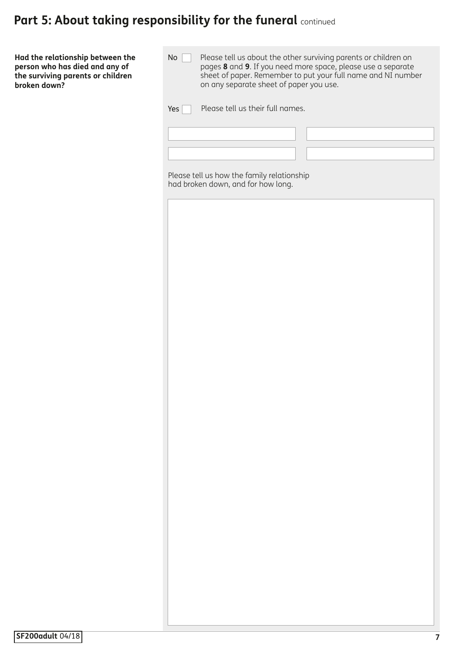**Had the relationship between the person who has died and any of the surviving parents or children broken down?**

| Yes | Please tell us their full names.                                                 |  |  |  |
|-----|----------------------------------------------------------------------------------|--|--|--|
|     |                                                                                  |  |  |  |
|     |                                                                                  |  |  |  |
|     | Please tell us how the family relationship<br>had broken down, and for how long. |  |  |  |
|     |                                                                                  |  |  |  |
|     |                                                                                  |  |  |  |
|     |                                                                                  |  |  |  |
|     |                                                                                  |  |  |  |
|     |                                                                                  |  |  |  |
|     |                                                                                  |  |  |  |
|     |                                                                                  |  |  |  |
|     |                                                                                  |  |  |  |
|     |                                                                                  |  |  |  |
|     |                                                                                  |  |  |  |
|     |                                                                                  |  |  |  |
|     |                                                                                  |  |  |  |
|     |                                                                                  |  |  |  |
|     |                                                                                  |  |  |  |
|     |                                                                                  |  |  |  |
|     |                                                                                  |  |  |  |
|     |                                                                                  |  |  |  |
|     |                                                                                  |  |  |  |
|     |                                                                                  |  |  |  |
|     |                                                                                  |  |  |  |
|     |                                                                                  |  |  |  |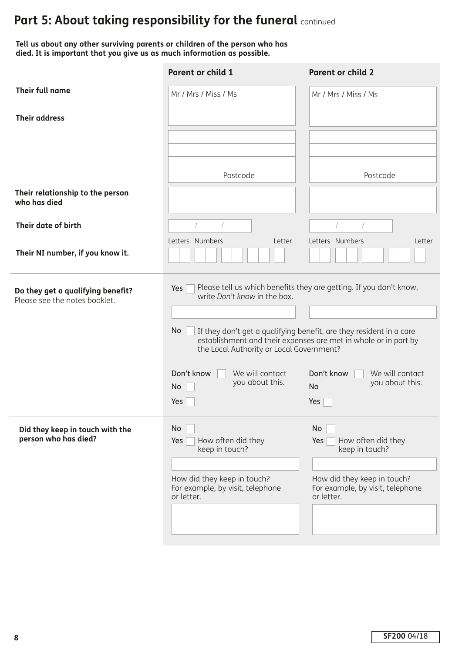**Tell us about any other surviving parents or children of the person who has died. It is important that you give us as much information as possible.**

|                                                                    | <b>Parent or child 1</b>                                                                                                           | <b>Parent or child 2</b>                                                                                                                                                                                     |
|--------------------------------------------------------------------|------------------------------------------------------------------------------------------------------------------------------------|--------------------------------------------------------------------------------------------------------------------------------------------------------------------------------------------------------------|
| Their full name                                                    | Mr / Mrs / Miss / Ms                                                                                                               | Mr / Mrs / Miss / Ms                                                                                                                                                                                         |
| <b>Their address</b>                                               |                                                                                                                                    |                                                                                                                                                                                                              |
|                                                                    | Postcode                                                                                                                           | Postcode                                                                                                                                                                                                     |
| Their relationship to the person<br>who has died                   |                                                                                                                                    |                                                                                                                                                                                                              |
| Their date of birth                                                | Letters Numbers<br>Letter                                                                                                          | Letters Numbers<br>Letter                                                                                                                                                                                    |
| Their NI number, if you know it.                                   |                                                                                                                                    |                                                                                                                                                                                                              |
| Do they get a qualifying benefit?<br>Please see the notes booklet. | Yes<br>write Don't know in the box.<br>No.<br>the Local Authority or Local Government?                                             | Please tell us which benefits they are getting. If you don't know,<br>If they don't get a qualifying benefit, are they resident in a care<br>establishment and their expenses are met in whole or in part by |
|                                                                    | Don't know<br>We will contact<br>you about this.<br>No<br>Yes                                                                      | Don't know<br>We will contact<br>you about this.<br><b>No</b><br>Yes                                                                                                                                         |
| Did they keep in touch with the<br>person who has died?            | No<br>How often did they<br>Yes<br>keep in touch?<br>How did they keep in touch?<br>For example, by visit, telephone<br>or letter. | No<br>How often did they<br>Yes<br>keep in touch?<br>How did they keep in touch?<br>For example, by visit, telephone<br>or letter.                                                                           |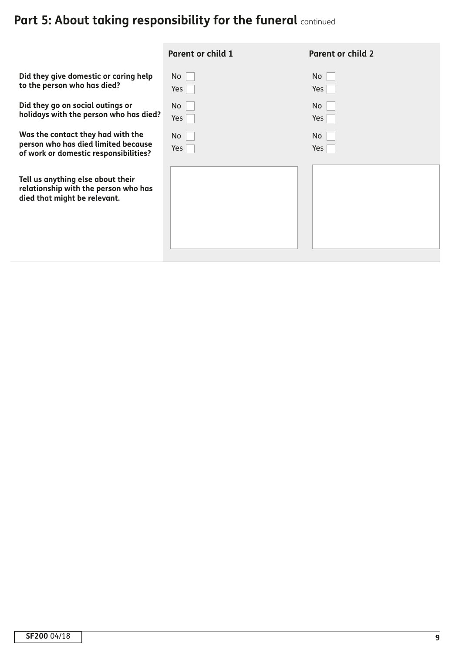|                                                                                                                   | <b>Parent or child 1</b> | <b>Parent or child 2</b> |
|-------------------------------------------------------------------------------------------------------------------|--------------------------|--------------------------|
| Did they give domestic or caring help<br>to the person who has died?                                              | No<br>Yes                | No<br>Yes                |
| Did they go on social outings or<br>holidays with the person who has died?                                        | <b>No</b><br>Yes         | <b>No</b><br>Yes         |
| Was the contact they had with the<br>person who has died limited because<br>of work or domestic responsibilities? | No<br>Yes                | No.<br>Yes               |
| Tell us anything else about their<br>relationship with the person who has<br>died that might be relevant.         |                          |                          |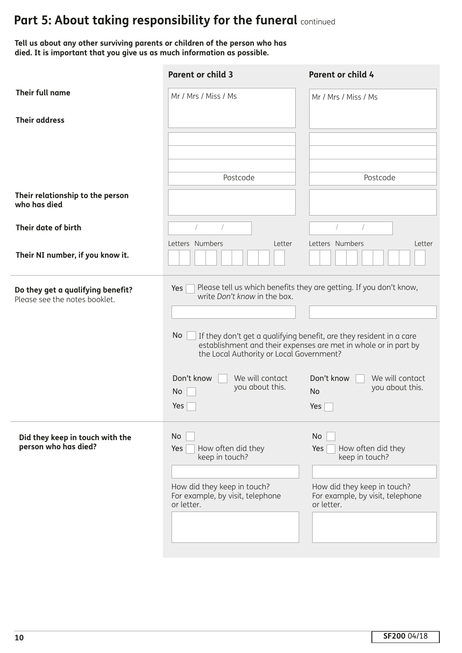**Tell us about any other surviving parents or children of the person who has died. It is important that you give us as much information as possible.**

|                                                                    | <b>Parent or child 3</b>                                                      | Parent or child 4                                                                                                                      |
|--------------------------------------------------------------------|-------------------------------------------------------------------------------|----------------------------------------------------------------------------------------------------------------------------------------|
| Their full name                                                    | Mr / Mrs / Miss / Ms                                                          | Mr / Mrs / Miss / Ms                                                                                                                   |
| <b>Their address</b>                                               |                                                                               |                                                                                                                                        |
|                                                                    |                                                                               |                                                                                                                                        |
|                                                                    | Postcode                                                                      | Postcode                                                                                                                               |
| Their relationship to the person<br>who has died                   |                                                                               |                                                                                                                                        |
| Their date of birth                                                |                                                                               | $\sqrt{2}$                                                                                                                             |
| Their NI number, if you know it.                                   | Letters Numbers<br>Letter                                                     | Letters Numbers<br>Letter                                                                                                              |
| Do they get a qualifying benefit?<br>Please see the notes booklet. | Yes  <br>write Don't know in the box.                                         | Please tell us which benefits they are getting. If you don't know,                                                                     |
|                                                                    |                                                                               |                                                                                                                                        |
|                                                                    | No<br>the Local Authority or Local Government?                                | If they don't get a qualifying benefit, are they resident in a care<br>establishment and their expenses are met in whole or in part by |
|                                                                    | Don't know<br>We will contact<br>you about this.<br>No                        | Don't know<br>We will contact<br>you about this.<br><b>No</b>                                                                          |
|                                                                    | Yes                                                                           | Yes                                                                                                                                    |
| Did they keep in touch with the<br>person who has died?            | No<br>How often did they<br>Yes<br>keep in touch?                             | No<br>How often did they<br>Yes<br>keep in touch?                                                                                      |
|                                                                    | How did they keep in touch?<br>For example, by visit, telephone<br>or letter. | How did they keep in touch?<br>For example, by visit, telephone<br>or letter.                                                          |
|                                                                    |                                                                               |                                                                                                                                        |
|                                                                    |                                                                               |                                                                                                                                        |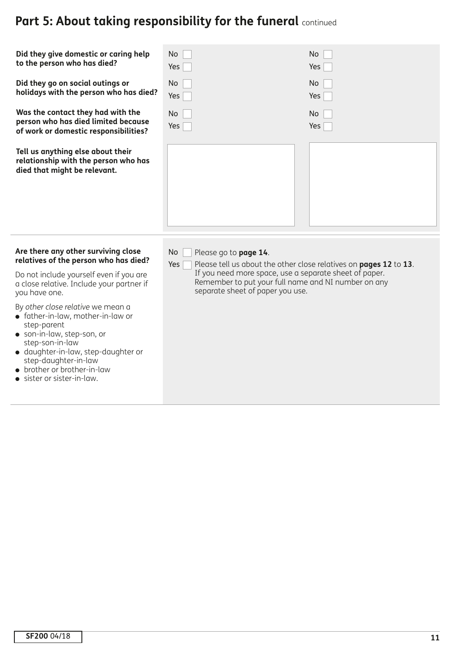| Did they give domestic or caring help<br>to the person who has died?<br>Did they go on social outings or<br>holidays with the person who has died?<br>Was the contact they had with the<br>person who has died limited because<br>of work or domestic responsibilities?<br>Tell us anything else about their<br>relationship with the person who has | No<br>Yes<br><b>No</b><br>Yes<br>No<br>Yes                                                                                                                                                                                                                          | No.<br>Yes<br>No<br>Yes<br>No.<br>Yes |
|------------------------------------------------------------------------------------------------------------------------------------------------------------------------------------------------------------------------------------------------------------------------------------------------------------------------------------------------------|---------------------------------------------------------------------------------------------------------------------------------------------------------------------------------------------------------------------------------------------------------------------|---------------------------------------|
| died that might be relevant.                                                                                                                                                                                                                                                                                                                         |                                                                                                                                                                                                                                                                     |                                       |
| Are there any other surviving close<br>relatives of the person who has died?<br>Do not include yourself even if you are<br>a close relative. Include your partner if<br>you have one.<br>By other close relative we mean a<br>• father-in-law, mother-in-law or<br>step-parent                                                                       | <b>No</b><br>Please go to page 14.<br>Please tell us about the other close relatives on pages 12 to 13.<br>Yes<br>If you need more space, use a separate sheet of paper.<br>Remember to put your full name and NI number on any<br>separate sheet of paper you use. |                                       |
| · son-in-law, step-son, or<br>step-son-in-law<br>· daughter-in-law, step-daughter or<br>step-daughter-in-law<br>• brother or brother-in-law<br>• sister or sister-in-law.                                                                                                                                                                            |                                                                                                                                                                                                                                                                     |                                       |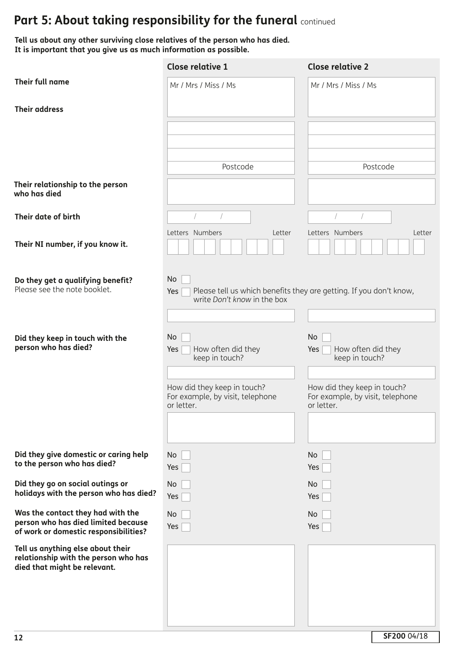**Tell us about any other surviving close relatives of the person who has died. It is important that you give us as much information as possible.**

|                                                                                                                   | <b>Close relative 1</b>                                                       | <b>Close relative 2</b>                                                       |
|-------------------------------------------------------------------------------------------------------------------|-------------------------------------------------------------------------------|-------------------------------------------------------------------------------|
| Their full name                                                                                                   | Mr / Mrs / Miss / Ms                                                          | Mr / Mrs / Miss / Ms                                                          |
| <b>Their address</b>                                                                                              |                                                                               |                                                                               |
|                                                                                                                   |                                                                               |                                                                               |
|                                                                                                                   |                                                                               |                                                                               |
|                                                                                                                   | Postcode                                                                      | Postcode                                                                      |
| Their relationship to the person<br>who has died                                                                  |                                                                               |                                                                               |
| Their date of birth                                                                                               |                                                                               |                                                                               |
| Their NI number, if you know it.                                                                                  | Letters Numbers<br>Letter                                                     | Letters Numbers<br>Letter                                                     |
| Do they get a qualifying benefit?<br>Please see the note booklet.                                                 | No<br>Yes<br>write Don't know in the box                                      | Please tell us which benefits they are getting. If you don't know,            |
|                                                                                                                   |                                                                               |                                                                               |
| Did they keep in touch with the<br>person who has died?                                                           | No<br>How often did they<br>Yes<br>keep in touch?                             | No<br>How often did they<br>Yes<br>keep in touch?                             |
|                                                                                                                   |                                                                               |                                                                               |
|                                                                                                                   | How did they keep in touch?<br>For example, by visit, telephone<br>or letter. | How did they keep in touch?<br>For example, by visit, telephone<br>or letter. |
|                                                                                                                   |                                                                               |                                                                               |
| Did they give domestic or caring help<br>to the person who has died?                                              | No<br>Yes                                                                     | No<br>Yes                                                                     |
| Did they go on social outings or<br>holidays with the person who has died?                                        | No.<br>Yes                                                                    | No<br>Yes                                                                     |
| Was the contact they had with the<br>person who has died limited because<br>of work or domestic responsibilities? | No<br>Yes                                                                     | No<br>Yes                                                                     |
| Tell us anything else about their<br>relationship with the person who has<br>died that might be relevant.         |                                                                               |                                                                               |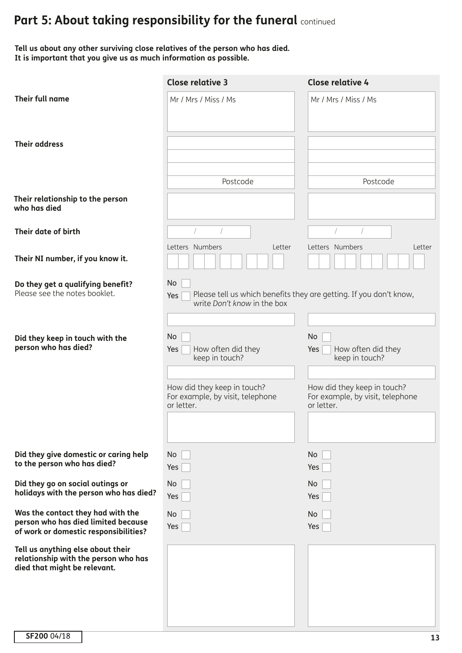**Tell us about any other surviving close relatives of the person who has died. It is important that you give us as much information as possible.**

|                                                                                                                   | <b>Close relative 3</b>                                                       | <b>Close relative 4</b>                                                       |
|-------------------------------------------------------------------------------------------------------------------|-------------------------------------------------------------------------------|-------------------------------------------------------------------------------|
| Their full name                                                                                                   | Mr / Mrs / Miss / Ms                                                          | Mr / Mrs / Miss / Ms                                                          |
| <b>Their address</b>                                                                                              |                                                                               |                                                                               |
|                                                                                                                   | Postcode                                                                      | Postcode                                                                      |
| Their relationship to the person<br>who has died                                                                  |                                                                               |                                                                               |
| Their date of birth                                                                                               |                                                                               |                                                                               |
| Their NI number, if you know it.                                                                                  | Letters Numbers<br>Letter                                                     | Letters Numbers<br>Letter                                                     |
| Do they get a qualifying benefit?<br>Please see the notes booklet.                                                | No<br>Yes<br>write Don't know in the box                                      | Please tell us which benefits they are getting. If you don't know,            |
| Did they keep in touch with the<br>person who has died?                                                           | No<br>How often did they<br>Yes<br>keep in touch?                             | No<br>How often did they<br>Yes<br>keep in touch?                             |
|                                                                                                                   | How did they keep in touch?<br>For example, by visit, telephone<br>or letter. | How did they keep in touch?<br>For example, by visit, telephone<br>or letter. |
|                                                                                                                   |                                                                               |                                                                               |
| Did they give domestic or caring help<br>to the person who has died?                                              | No<br>Yes                                                                     | No<br>Yes                                                                     |
| Did they go on social outings or<br>holidays with the person who has died?                                        | No<br>Yes                                                                     | No<br>Yes                                                                     |
| Was the contact they had with the<br>person who has died limited because<br>of work or domestic responsibilities? | No<br>Yes                                                                     | No<br>Yes                                                                     |
| Tell us anything else about their<br>relationship with the person who has<br>died that might be relevant.         |                                                                               |                                                                               |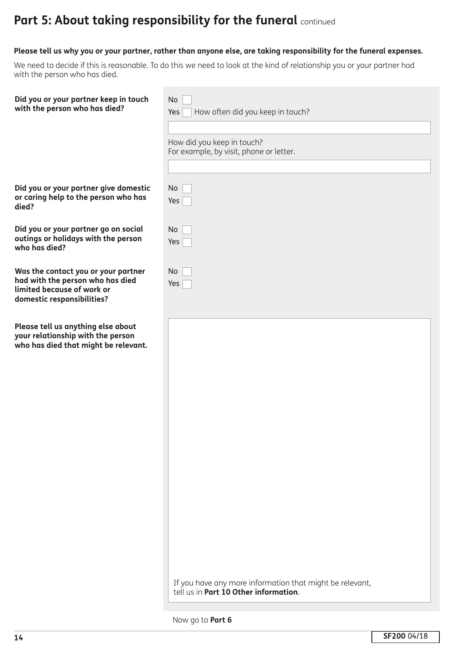### **Please tell us why you or your partner, rather than anyone else, are taking responsibility for the funeral expenses.**

We need to decide if this is reasonable. To do this we need to look at the kind of relationship you or your partner had with the person who has died.

**Did you or your partner keep in touch** with the person who has died?

**Did you or your partner give domestic or caring help to the person who has**

**Did you or your partner go on social outings or holidays with the person**

**Was the contact you or your partner had with the person who has died**

**Please tell us anything else about your relationship with the person who has died that might be relevant.**

**limited because of work or domestic responsibilities?**

**died?**

**who has died?**

| No                                                                    |
|-----------------------------------------------------------------------|
| How often did you keep in touch?<br>Yes                               |
|                                                                       |
| How did you keep in touch?<br>For example, by visit, phone or letter. |
|                                                                       |
| No                                                                    |
| Yes                                                                   |
|                                                                       |
| No                                                                    |
| Yes                                                                   |
|                                                                       |
| No                                                                    |
| Yes                                                                   |
|                                                                       |

If you have any more information that might be relevant, tell us in **Part 10 Other information**.

Now go to **Part 6**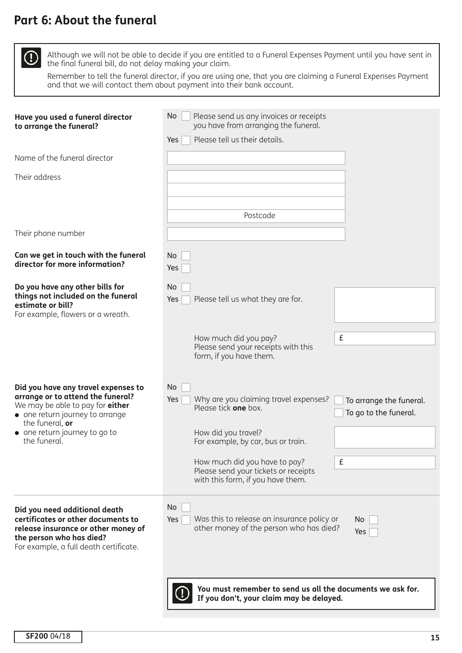## **Part 6: About the funeral**

 $\bigcirc$ 

 Although we will not be able to decide if you are entitled to a Funeral Expenses Payment until you have sent in the final funeral bill, do not delay making your claim.

 Remember to tell the funeral director, if you are using one, that you are claiming a Funeral Expenses Payment and that we will contact them about payment into their bank account.

| Have you used a funeral director<br>to arrange the funeral?                                                                                                                      | No<br>Please send us any invoices or receipts<br>you have from arranging the funeral.                                          |  |  |  |
|----------------------------------------------------------------------------------------------------------------------------------------------------------------------------------|--------------------------------------------------------------------------------------------------------------------------------|--|--|--|
|                                                                                                                                                                                  | Please tell us their details.<br>Yes                                                                                           |  |  |  |
| Name of the funeral director                                                                                                                                                     |                                                                                                                                |  |  |  |
| Their address                                                                                                                                                                    |                                                                                                                                |  |  |  |
|                                                                                                                                                                                  |                                                                                                                                |  |  |  |
|                                                                                                                                                                                  | Postcode                                                                                                                       |  |  |  |
| Their phone number                                                                                                                                                               |                                                                                                                                |  |  |  |
| Can we get in touch with the funeral<br>director for more information?                                                                                                           | No<br>Yes                                                                                                                      |  |  |  |
| Do you have any other bills for<br>things not included on the funeral<br>estimate or bill?<br>For example, flowers or a wreath.                                                  | No<br>Please tell us what they are for.<br>Yes                                                                                 |  |  |  |
|                                                                                                                                                                                  | £<br>How much did you pay?<br>Please send your receipts with this<br>form, if you have them.                                   |  |  |  |
| Did you have any travel expenses to<br>arrange or to attend the funeral?<br>We may be able to pay for either<br>• one return journey to arrange<br>the funeral, or               | No<br>Why are you claiming travel expenses?<br>Yes<br>To arrange the funeral.<br>Please tick one box.<br>To go to the funeral. |  |  |  |
| • one return journey to go to<br>the funeral.                                                                                                                                    | How did you travel?<br>For example, by car, bus or train.                                                                      |  |  |  |
|                                                                                                                                                                                  | £<br>How much did you have to pay?<br>Please send your tickets or receipts<br>with this form, if you have them.                |  |  |  |
| Did you need additional death<br>certificates or other documents to<br>release insurance or other money of<br>the person who has died?<br>For example, a full death certificate. | No.<br>Was this to release an insurance policy or<br>Yes<br>No<br>other money of the person who has died?<br>Yes               |  |  |  |
|                                                                                                                                                                                  | You must remember to send us all the documents we ask for.<br>If you don't, your claim may be delayed.                         |  |  |  |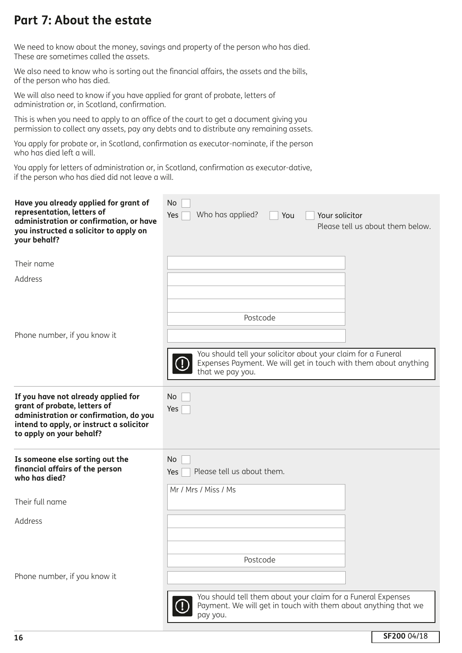## **Part 7: About the estate**

We need to know about the money, savings and property of the person who has died. These are sometimes called the assets.

We also need to know who is sorting out the financial affairs, the assets and the bills, of the person who has died.

We will also need to know if you have applied for grant of probate, letters of administration or, in Scotland, confirmation.

This is when you need to apply to an office of the court to get a document giving you permission to collect any assets, pay any debts and to distribute any remaining assets.

You apply for probate or, in Scotland, confirmation as executor-nominate, if the person who has died left a will.

You apply for letters of administration or, in Scotland, confirmation as executor-dative, if the person who has died did not leave a will.

| Have you already applied for grant of<br>representation, letters of<br>administration or confirmation, or have<br>you instructed a solicitor to apply on<br>your behalf?              | No<br>Who has applied?<br>Your solicitor<br>Yes<br>You<br>Please tell us about them below.                                                           |
|---------------------------------------------------------------------------------------------------------------------------------------------------------------------------------------|------------------------------------------------------------------------------------------------------------------------------------------------------|
| Their name                                                                                                                                                                            |                                                                                                                                                      |
| Address                                                                                                                                                                               |                                                                                                                                                      |
|                                                                                                                                                                                       | Postcode                                                                                                                                             |
| Phone number, if you know it                                                                                                                                                          |                                                                                                                                                      |
|                                                                                                                                                                                       | You should tell your solicitor about your claim for a Funeral<br>Expenses Payment. We will get in touch with them about anything<br>that we pay you. |
| If you have not already applied for<br>grant of probate, letters of<br>administration or confirmation, do you<br>intend to apply, or instruct a solicitor<br>to apply on your behalf? | No<br>Yes                                                                                                                                            |
| Is someone else sorting out the<br>financial affairs of the person<br>who has died?                                                                                                   | No<br>Please tell us about them.<br>Yes                                                                                                              |
| Their full name                                                                                                                                                                       | Mr / Mrs / Miss / Ms                                                                                                                                 |
| Address                                                                                                                                                                               |                                                                                                                                                      |
|                                                                                                                                                                                       |                                                                                                                                                      |
|                                                                                                                                                                                       | Postcode                                                                                                                                             |
| Phone number, if you know it                                                                                                                                                          |                                                                                                                                                      |
|                                                                                                                                                                                       | You should tell them about your claim for a Funeral Expenses<br>Payment. We will get in touch with them about anything that we<br>pay you.           |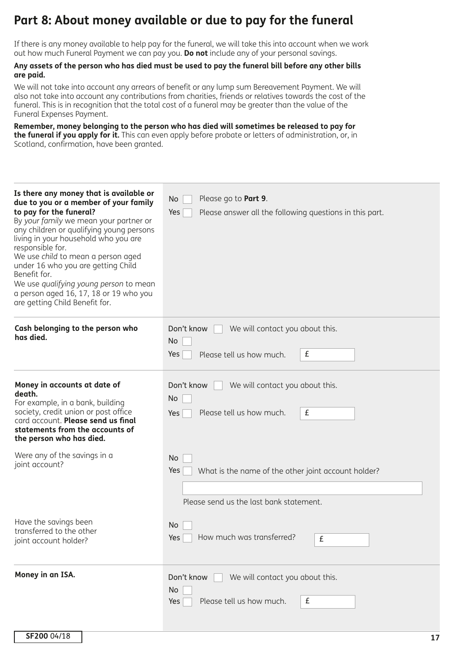## **Part 8: About money available or due to pay for the funeral**

If there is any money available to help pay for the funeral, we will take this into account when we work out how much Funeral Payment we can pay you. **Do not** include any of your personal savings.

### **Any assets of the person who has died must be used to pay the funeral bill before any other bills are paid.**

We will not take into account any arrears of benefit or any lump sum Bereavement Payment. We will also not take into account any contributions from charities, friends or relatives towards the cost of the funeral. This is in recognition that the total cost of a funeral may be greater than the value of the Funeral Expenses Payment.

**Remember, money belonging to the person who has died will sometimes be released to pay for the funeral if you apply for it.** This can even apply before probate or letters of administration, or, in Scotland, confirmation, have been granted.

| Is there any money that is available or<br>due to you or a member of your family<br>to pay for the funeral?<br>By your family we mean your partner or<br>any children or qualifying young persons<br>living in your household who you are<br>responsible for.<br>We use child to mean a person aged<br>under 16 who you are getting Child<br>Benefit for.<br>We use qualifying young person to mean<br>a person aged 16, 17, 18 or 19 who you<br>are getting Child Benefit for. | Please go to Part 9.<br>No.<br>Yes<br>Please answer all the following questions in this part.               |
|---------------------------------------------------------------------------------------------------------------------------------------------------------------------------------------------------------------------------------------------------------------------------------------------------------------------------------------------------------------------------------------------------------------------------------------------------------------------------------|-------------------------------------------------------------------------------------------------------------|
| Cash belonging to the person who<br>has died.                                                                                                                                                                                                                                                                                                                                                                                                                                   | Don't know<br>We will contact you about this.<br>No<br>£<br>Please tell us how much.<br>Yes                 |
| Money in accounts at date of<br>death.<br>For example, in a bank, building<br>society, credit union or post office<br>card account. Please send us final<br>statements from the accounts of<br>the person who has died.                                                                                                                                                                                                                                                         | Don't know<br>We will contact you about this.<br>No<br>£<br>Please tell us how much.<br>Yes                 |
| Were any of the savings in a<br>joint account?                                                                                                                                                                                                                                                                                                                                                                                                                                  | No<br>Yes<br>What is the name of the other joint account holder?<br>Please send us the last bank statement. |
| Have the savings been<br>transferred to the other<br>joint account holder?                                                                                                                                                                                                                                                                                                                                                                                                      | No.<br>How much was transferred?<br>Yes  <br>£                                                              |
| Money in an ISA.                                                                                                                                                                                                                                                                                                                                                                                                                                                                | We will contact you about this.<br>Don't know<br>No.<br>Please tell us how much.<br>£<br>Yes                |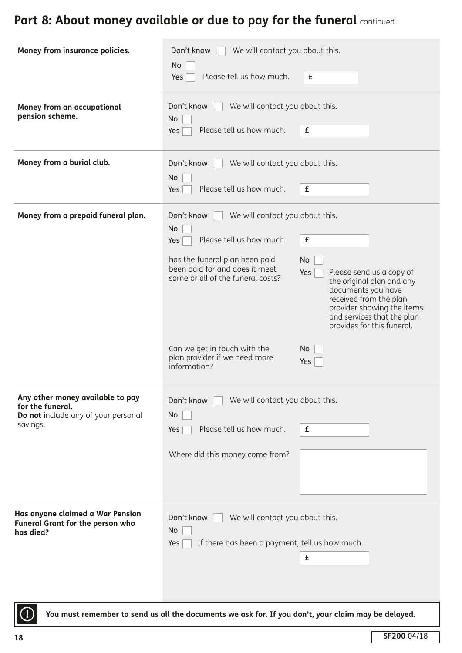# Part 8: About money available or due to pay for the funeral continued

| Money from insurance policies.                                                                          | We will contact you about this.<br>Don't know<br>No<br>Please tell us how much.<br>Yes                                                                                                                                                                                           | £                                                                                                                                                                                                                                                            |  |  |
|---------------------------------------------------------------------------------------------------------|----------------------------------------------------------------------------------------------------------------------------------------------------------------------------------------------------------------------------------------------------------------------------------|--------------------------------------------------------------------------------------------------------------------------------------------------------------------------------------------------------------------------------------------------------------|--|--|
| Money from an occupational<br>pension scheme.                                                           | Don't know<br>We will contact you about this.<br>No<br>Please tell us how much.<br>£<br>Yes                                                                                                                                                                                      |                                                                                                                                                                                                                                                              |  |  |
| Money from a burial club.                                                                               | We will contact you about this.<br>Don't know<br>No<br>Please tell us how much.<br>£<br>Yes                                                                                                                                                                                      |                                                                                                                                                                                                                                                              |  |  |
| Money from a prepaid funeral plan.                                                                      | Don't know<br>We will contact you about this.<br>No<br>Please tell us how much.<br>Yes<br>has the funeral plan been paid<br>been paid for and does it meet<br>some or all of the funeral costs?<br>Can we get in touch with the<br>plan provider if we need more<br>information? | $\pmb{\mathsf{f}}$<br>No<br>Please send us a copy of<br>Yes <sup> </sup><br>the original plan and any<br>documents you have<br>received from the plan<br>provider showing the items<br>and services that the plan<br>provides for this funeral.<br>No<br>Yes |  |  |
| Any other money available to pay<br>for the funeral.<br>Do not include any of your personal<br>savings. | Don't know<br>We will contact you about this.<br>No<br>Please tell us how much.<br>Yes<br>Where did this money come from?                                                                                                                                                        | £                                                                                                                                                                                                                                                            |  |  |
| Has anyone claimed a War Pension<br><b>Funeral Grant for the person who</b><br>has died?                | Don't know<br>We will contact you about this.<br>No<br>If there has been a payment, tell us how much.<br>Yes                                                                                                                                                                     | £                                                                                                                                                                                                                                                            |  |  |
|                                                                                                         | You must remember to send us all the documents we ask for. If you don't, your claim may be delayed.                                                                                                                                                                              |                                                                                                                                                                                                                                                              |  |  |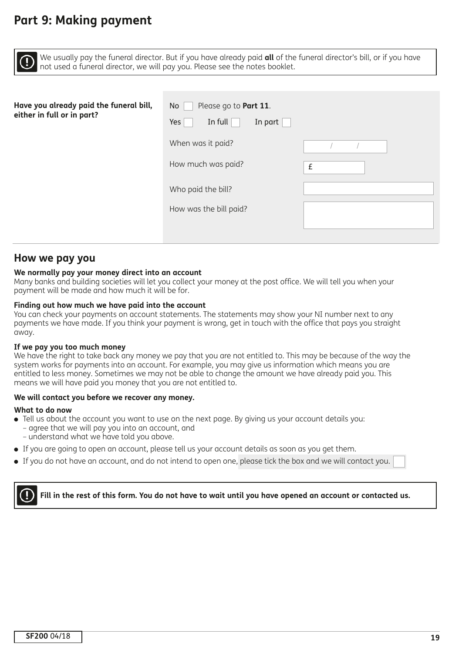### **Part 9: Making payment**

We usually pay the funeral director. But if you have already paid **all** of the funeral director's bill, or if you have not used a funeral director, we will pay you. Please see the notes booklet.

| Have you already paid the funeral bill,<br>either in full or in part? | Please go to Part 11.<br>No<br>Yes<br>In full<br>In part |   |
|-----------------------------------------------------------------------|----------------------------------------------------------|---|
|                                                                       | When was it paid?                                        |   |
|                                                                       | How much was paid?                                       | £ |
|                                                                       | Who paid the bill?                                       |   |
|                                                                       | How was the bill paid?                                   |   |
|                                                                       |                                                          |   |

### **How we pay you**

### **We normally pay your money direct into an account**

Many banks and building societies will let you collect your money at the post office. We will tell you when your payment will be made and how much it will be for.

#### **Finding out how much we have paid into the account**

You can check your payments on account statements. The statements may show your NI number next to any payments we have made. If you think your payment is wrong, get in touch with the office that pays you straight away.

#### **If we pay you too much money**

We have the right to take back any money we pay that you are not entitled to. This may be because of the way the system works for payments into an account. For example, you may give us information which means you are entitled to less money. Sometimes we may not be able to change the amount we have already paid you. This means we will have paid you money that you are not entitled to.

#### **We will contact you before we recover any money.**

#### **What to do now**

- Tell us about the account you want to use on the next page. By giving us your account details you: – agree that we will pay you into an account, and – understand what we have told you above.
- <sup>l</sup> If you are going to open an account, please tell us your account details as soon as you get them.
- <sup>l</sup> If you do not have an account, and do not intend to open one, please tick the box and we will contact you.

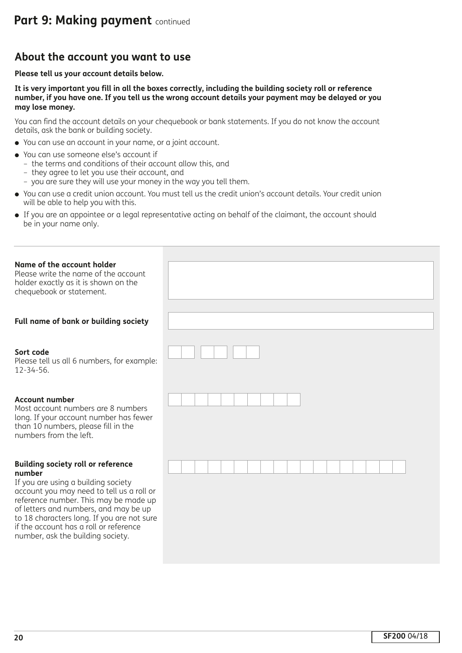### **About the account you want to use**

### **Please tell us your account details below.**

**It is very important you fill in all the boxes correctly, including the building society roll or reference number, if you have one. If you tell us the wrong account details your payment may be delayed or you may lose money.** 

You can find the account details on your chequebook or bank statements. If you do not know the account details, ask the bank or building society.

- You can use an account in your name, or a joint account.
- You can use someone else's account if
	- the terms and conditions of their account allow this, and
	- they agree to let you use their account, and
	- you are sure they will use your money in the way you tell them.
- <sup>l</sup> You can use a credit union account. You must tell us the credit union's account details. Your credit union will be able to help you with this.
- If you are an appointee or a legal representative acting on behalf of the claimant, the account should be in your name only.

| Name of the account holder<br>Please write the name of the account<br>holder exactly as it is shown on the<br>chequebook or statement.                                                                                                                                                                                                                 |  |
|--------------------------------------------------------------------------------------------------------------------------------------------------------------------------------------------------------------------------------------------------------------------------------------------------------------------------------------------------------|--|
| Full name of bank or building society                                                                                                                                                                                                                                                                                                                  |  |
| Sort code<br>Please tell us all 6 numbers, for example:<br>$12 - 34 - 56.$                                                                                                                                                                                                                                                                             |  |
| <b>Account number</b><br>Most account numbers are 8 numbers<br>long. If your account number has fewer<br>than 10 numbers, please fill in the<br>numbers from the left.                                                                                                                                                                                 |  |
| <b>Building society roll or reference</b><br>number<br>If you are using a building society<br>account you may need to tell us a roll or<br>reference number. This may be made up<br>of letters and numbers, and may be up<br>to 18 characters long. If you are not sure<br>if the account has a roll or reference<br>number, ask the building society. |  |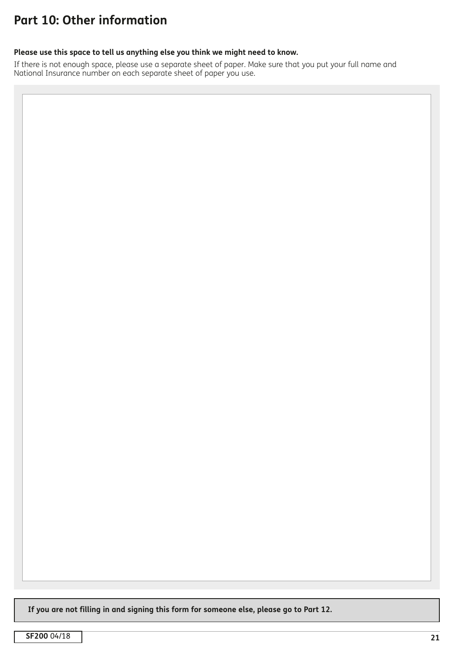## **Part 10: Other information**

### **Please use this space to tell us anything else you think we might need to know.**

If there is not enough space, please use a separate sheet of paper. Make sure that you put your full name and National Insurance number on each separate sheet of paper you use.

**If you are not filling in and signing this form for someone else, please go to Part 12.**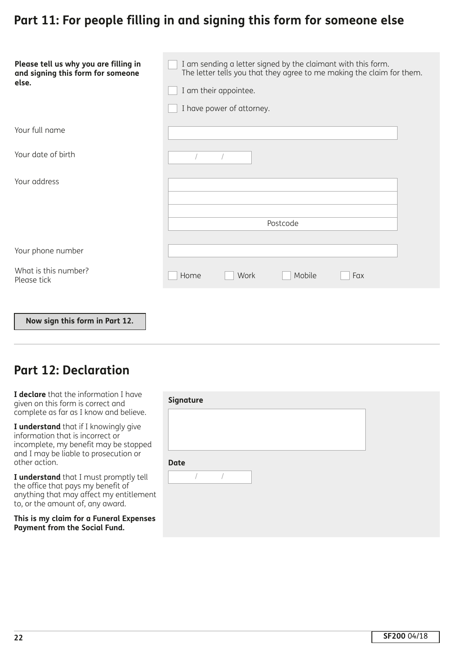## **Part 11: For people filling in and signing this form for someone else**

| Please tell us why you are filling in<br>and signing this form for someone<br>else. | I am sending a letter signed by the claimant with this form.<br>The letter tells you that they agree to me making the claim for them.<br>I am their appointee.<br>I have power of attorney. |  |  |
|-------------------------------------------------------------------------------------|---------------------------------------------------------------------------------------------------------------------------------------------------------------------------------------------|--|--|
| Your full name                                                                      |                                                                                                                                                                                             |  |  |
| Your date of birth                                                                  |                                                                                                                                                                                             |  |  |
| Your address                                                                        |                                                                                                                                                                                             |  |  |
|                                                                                     | Postcode                                                                                                                                                                                    |  |  |
| Your phone number                                                                   |                                                                                                                                                                                             |  |  |
| What is this number?<br>Please tick                                                 | Home<br>Work<br>Mobile<br>Fax                                                                                                                                                               |  |  |
| Now sign this form in Part 12.                                                      |                                                                                                                                                                                             |  |  |

### **Part 12: Declaration**

| I declare that the information I have  |
|----------------------------------------|
| given on this form is correct and      |
| complete as far as I know and believe. |

**I understand** that if I knowingly give information that is incorrect or incomplete, my benefit may be stopped and I may be liable to prosecution or other action.

**I understand** that I must promptly tell the office that pays my benefit of anything that may affect my entitlement to, or the amount of, any award.

**This is my claim for a Funeral Expenses Payment from the Social Fund.**

| Signature   |  |  |  |  |
|-------------|--|--|--|--|
|             |  |  |  |  |
|             |  |  |  |  |
|             |  |  |  |  |
| <b>Date</b> |  |  |  |  |
| $\sqrt{2}$  |  |  |  |  |
|             |  |  |  |  |
|             |  |  |  |  |
|             |  |  |  |  |
|             |  |  |  |  |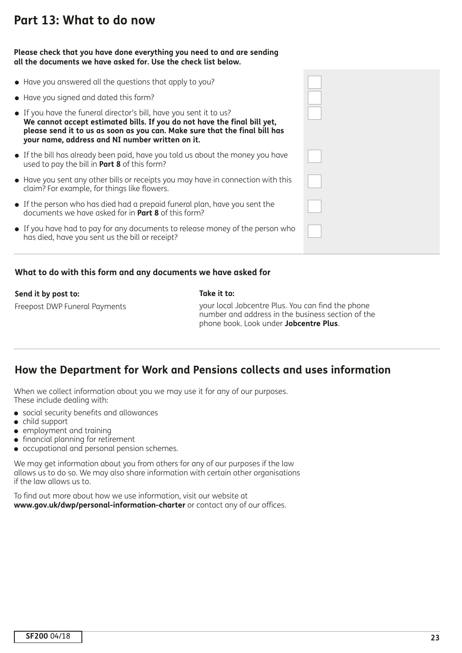## **Part 13: What to do now**

### **Please check that you have done everything you need to and are sending all the documents we have asked for. Use the check list below.**

| • Have you answered all the questions that apply to you?                                                                                                                                                                                                                        |  |
|---------------------------------------------------------------------------------------------------------------------------------------------------------------------------------------------------------------------------------------------------------------------------------|--|
| • Have you signed and dated this form?                                                                                                                                                                                                                                          |  |
| • If you have the funeral director's bill, have you sent it to us?<br>We cannot accept estimated bills. If you do not have the final bill yet,<br>please send it to us as soon as you can. Make sure that the final bill has<br>your name, address and NI number written on it. |  |
| • If the bill has already been paid, have you told us about the money you have<br>used to pay the bill in <b>Part 8</b> of this form?                                                                                                                                           |  |
| • Have you sent any other bills or receipts you may have in connection with this<br>claim? For example, for things like flowers.                                                                                                                                                |  |
| • If the person who has died had a prepaid funeral plan, have you sent the<br>documents we have asked for in <b>Part 8</b> of this form?                                                                                                                                        |  |
| • If you have had to pay for any documents to release money of the person who<br>has died, have you sent us the bill or receipt?                                                                                                                                                |  |
|                                                                                                                                                                                                                                                                                 |  |

### **What to do with this form and any documents we have asked for**

### **Send it by post to:**

Freepost DWP Funeral Payments

### **Take it to:**

your local Jobcentre Plus. You can find the phone number and address in the business section of the phone book. Look under **Jobcentre Plus**.

### **How the Department for Work and Pensions collects and uses information**

When we collect information about you we may use it for any of our purposes. These include dealing with:

- **.** social security benefits and allowances
- $\bullet$  child support
- $\bullet$  employment and training
- $\bullet$  financial planning for retirement
- occupational and personal pension schemes.

We may get information about you from others for any of our purposes if the law allows us to do so. We may also share information with certain other organisations if the law allows us to.

To find out more about how we use information, visit our website at **www.gov.uk/dwp/personal-information-charter** or contact any of our offices.